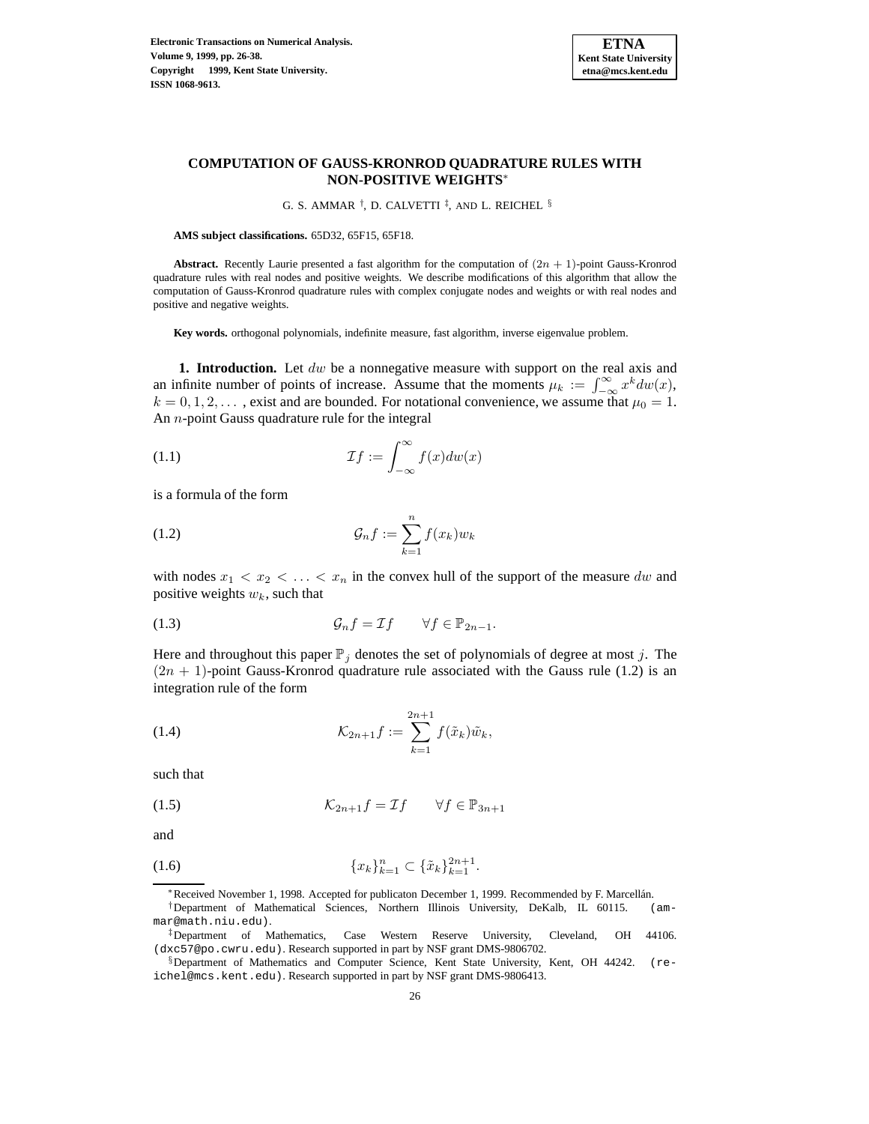

# **COMPUTATION OF GAUSS-KRONROD QUADRATURE RULES WITH NON-POSITIVE WEIGHTS**<sup>∗</sup>

G. S. AMMAR  $^{\dagger}$ , D. CALVETTI  $^{\ddagger}$ , AND L. REICHEL  $^{\S}$ 

**AMS subject classifications.** 65D32, 65F15, 65F18.

**Abstract.** Recently Laurie presented a fast algorithm for the computation of  $(2n + 1)$ -point Gauss-Kronrod quadrature rules with real nodes and positive weights. We describe modifications of this algorithm that allow the computation of Gauss-Kronrod quadrature rules with complex conjugate nodes and weights or with real nodes and positive and negative weights.

**Key words.** orthogonal polynomials, indefinite measure, fast algorithm, inverse eigenvalue problem.

**1. Introduction.** Let  $dw$  be a nonnegative measure with support on the real axis and an infinite number of points of increase. Assume that the moments  $\mu_k := \int_{-\infty}^{\infty} x^k dw(x)$ ,  $k = 0, 1, 2, \dots$ , exist and are bounded. For notational convenience, we assume that  $\mu_0 = 1$ . An n-point Gauss quadrature rule for the integral

(1.1) 
$$
\mathcal{I}f := \int_{-\infty}^{\infty} f(x)dw(x)
$$

is a formula of the form

$$
(1.2)\qquad \qquad \mathcal{G}_n f := \sum_{k=1}^n f(x_k) w_k
$$

with nodes  $x_1 < x_2 < \ldots < x_n$  in the convex hull of the support of the measure dw and positive weights  $w_k$ , such that

(1.3) 
$$
\mathcal{G}_n f = \mathcal{I} f \qquad \forall f \in \mathbb{P}_{2n-1}.
$$

Here and throughout this paper  $\mathbb{P}_j$  denotes the set of polynomials of degree at most j. The  $(2n + 1)$ -point Gauss-Kronrod quadrature rule associated with the Gauss rule (1.2) is an integration rule of the form

(1.4) 
$$
\mathcal{K}_{2n+1}f := \sum_{k=1}^{2n+1} f(\tilde{x}_k)\tilde{w}_k,
$$

such that

$$
(1.5) \t\t\t\t\mathcal{K}_{2n+1}f = \mathcal{I}f \t\t\t \forall f \in \mathbb{P}_{3n+1}
$$

and

$$
(1.6) \t\t \{x_k\}_{k=1}^n \subset \{\tilde{x}_k\}_{k=1}^{2n+1}.
$$

∗Received November 1, 1998. Accepted for publicaton December 1, 1999. Recommended by F. Marcell´an.

†Department of Mathematical Sciences, Northern Illinois University, DeKalb, IL 60115. (ammar@math.niu.edu).

‡Department of Mathematics, Case Western Reserve University, Cleveland, OH 44106. (dxc57@po.cwru.edu). Research supported in part by NSF grant DMS-9806702.

<sup>§</sup>Department of Mathematics and Computer Science, Kent State University, Kent, OH 44242. (reichel@mcs.kent.edu). Research supported in part by NSF grant DMS-9806413.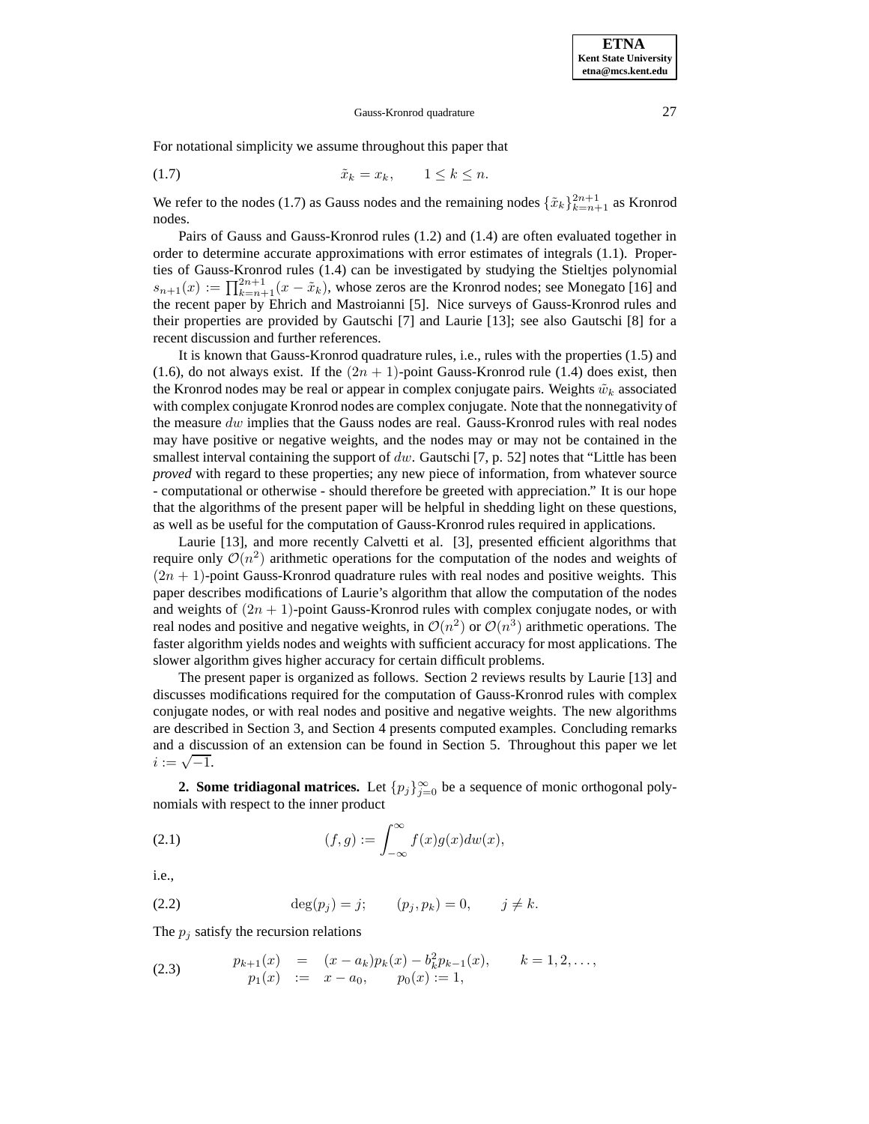For notational simplicity we assume throughout this paper that

$$
(1.7) \t\t\t \tilde{x}_k = x_k, \t 1 \le k \le n.
$$

We refer to the nodes (1.7) as Gauss nodes and the remaining nodes  $\{\tilde{x}_k\}_{k=n+1}^{2n+1}$  as Kronrod nodes.

Pairs of Gauss and Gauss-Kronrod rules (1.2) and (1.4) are often evaluated together in order to determine accurate approximations with error estimates of integrals (1.1). Properties of Gauss-Kronrod rules (1.4) can be investigated by studying the Stieltjes polynomial  $s_{n+1}(x) := \prod_{k=n+1}^{2n+1} (x - \tilde{x}_k)$ , whose zeros are the Kronrod nodes; see Monegato [16] and the recent paper by Ehrich and Mastroianni [5]. Nice surveys of Gauss-Kronrod rules and their properties are provided by Gautschi [7] and Laurie [13]; see also Gautschi [8] for a recent discussion and further references.

It is known that Gauss-Kronrod quadrature rules, i.e., rules with the properties (1.5) and (1.6), do not always exist. If the  $(2n + 1)$ -point Gauss-Kronrod rule (1.4) does exist, then the Kronrod nodes may be real or appear in complex conjugate pairs. Weights  $\tilde{w}_k$  associated with complex conjugate Kronrod nodes are complex conjugate. Note that the nonnegativity of the measure  $dw$  implies that the Gauss nodes are real. Gauss-Kronrod rules with real nodes may have positive or negative weights, and the nodes may or may not be contained in the smallest interval containing the support of dw. Gautschi [7, p. 52] notes that "Little has been *proved* with regard to these properties; any new piece of information, from whatever source - computational or otherwise - should therefore be greeted with appreciation." It is our hope that the algorithms of the present paper will be helpful in shedding light on these questions, as well as be useful for the computation of Gauss-Kronrod rules required in applications.

Laurie [13], and more recently Calvetti et al. [3], presented efficient algorithms that require only  $\mathcal{O}(n^2)$  arithmetic operations for the computation of the nodes and weights of  $(2n + 1)$ -point Gauss-Kronrod quadrature rules with real nodes and positive weights. This paper describes modifications of Laurie's algorithm that allow the computation of the nodes and weights of  $(2n + 1)$ -point Gauss-Kronrod rules with complex conjugate nodes, or with real nodes and positive and negative weights, in  $\mathcal{O}(n^2)$  or  $\mathcal{O}(n^3)$  arithmetic operations. The faster algorithm yields nodes and weights with sufficient accuracy for most applications. The slower algorithm gives higher accuracy for certain difficult problems.

The present paper is organized as follows. Section 2 reviews results by Laurie [13] and discusses modifications required for the computation of Gauss-Kronrod rules with complex conjugate nodes, or with real nodes and positive and negative weights. The new algorithms are described in Section 3, and Section 4 presents computed examples. Concluding remarks and a discussion of an extension can be found in Section 5. Throughout this paper we let  $i := \sqrt{-1}.$ 

**2. Some tridiagonal matrices.** Let  $\{p_j\}_{j=0}^{\infty}$  be a sequence of monic orthogonal polynomials with respect to the inner product

(2.1) 
$$
(f,g) := \int_{-\infty}^{\infty} f(x)g(x)dw(x),
$$

i.e.,

(2.2) 
$$
\deg(p_j) = j;
$$
  $(p_j, p_k) = 0, \quad j \neq k.$ 

The  $p_i$  satisfy the recursion relations

(2.3) 
$$
p_{k+1}(x) = (x - a_k)p_k(x) - b_k^2 p_{k-1}(x), \qquad k = 1, 2, ...,
$$

$$
p_1(x) := x - a_0, \qquad p_0(x) := 1,
$$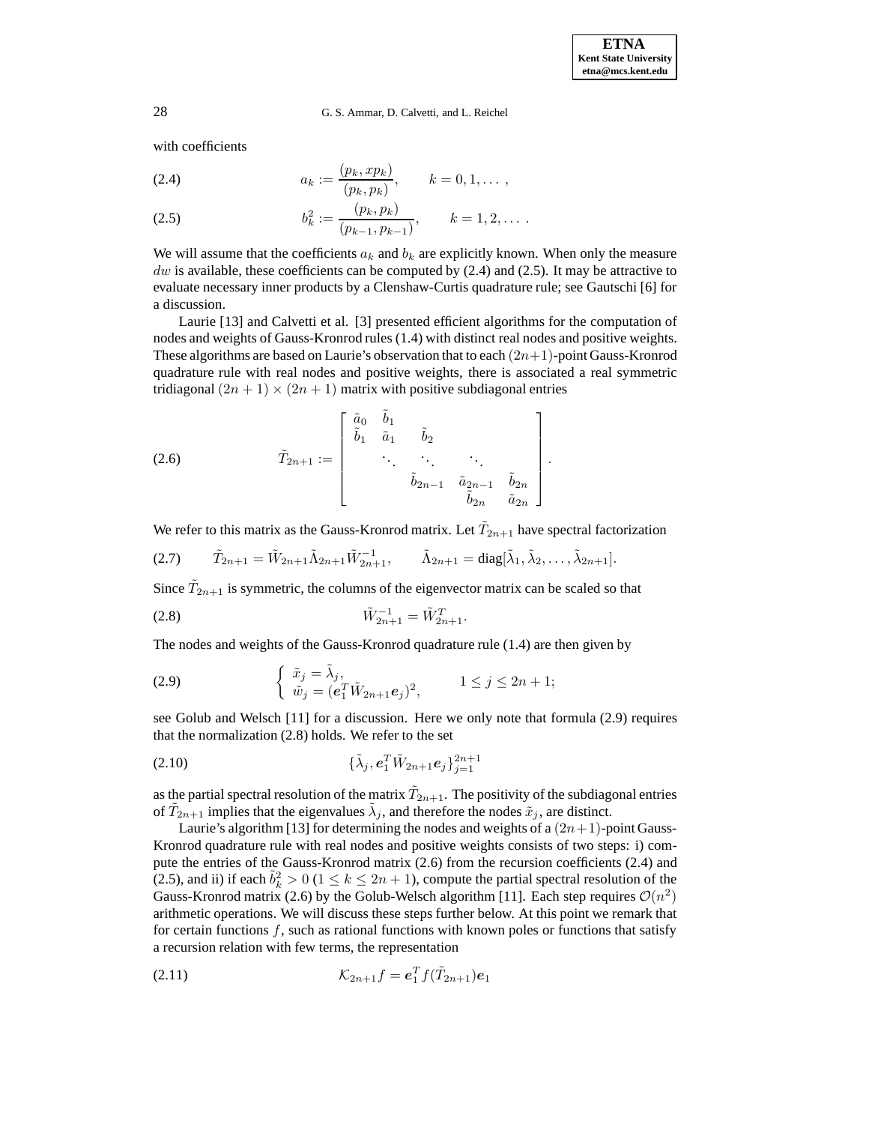with coefficients

(2.4) 
$$
a_k := \frac{(p_k, xp_k)}{(p_k, p_k)}, \qquad k = 0, 1, \ldots,
$$

(2.5) 
$$
b_k^2 := \frac{(p_k, p_k)}{(p_{k-1}, p_{k-1})}, \qquad k = 1, 2, \ldots
$$

We will assume that the coefficients  $a_k$  and  $b_k$  are explicitly known. When only the measure dw is available, these coefficients can be computed by  $(2.4)$  and  $(2.5)$ . It may be attractive to evaluate necessary inner products by a Clenshaw-Curtis quadrature rule; see Gautschi [6] for a discussion.

Laurie [13] and Calvetti et al. [3] presented efficient algorithms for the computation of nodes and weights of Gauss-Kronrod rules (1.4) with distinct real nodes and positive weights. These algorithms are based on Laurie's observation that to each  $(2n+1)$ -point Gauss-Kronrod quadrature rule with real nodes and positive weights, there is associated a real symmetric tridiagonal  $(2n + 1) \times (2n + 1)$  matrix with positive subdiagonal entries

(2.6) 
$$
\tilde{T}_{2n+1} := \begin{bmatrix} \tilde{a}_0 & \tilde{b}_1 & & & \\ \tilde{b}_1 & \tilde{a}_1 & \tilde{b}_2 & & \\ & \ddots & \ddots & \ddots & \\ & & \tilde{b}_{2n-1} & \tilde{a}_{2n-1} & \tilde{b}_{2n} \\ & & & \tilde{b}_{2n} & \tilde{a}_{2n} \end{bmatrix}.
$$

We refer to this matrix as the Gauss-Kronrod matrix. Let  $\tilde{T}_{2n+1}$  have spectral factorization

$$
(2.7) \qquad \tilde{T}_{2n+1} = \tilde{W}_{2n+1} \tilde{\Lambda}_{2n+1} \tilde{W}_{2n+1}^{-1}, \qquad \tilde{\Lambda}_{2n+1} = \text{diag}[\tilde{\lambda}_1, \tilde{\lambda}_2, \dots, \tilde{\lambda}_{2n+1}].
$$

Since  $\tilde{T}_{2n+1}$  is symmetric, the columns of the eigenvector matrix can be scaled so that

$$
\tilde{W}_{2n+1}^{-1} = \tilde{W}_{2n+1}^T.
$$

The nodes and weights of the Gauss-Kronrod quadrature rule (1.4) are then given by

(2.9) 
$$
\begin{cases} \tilde{x}_j = \tilde{\lambda}_j, \\ \tilde{w}_j = (\mathbf{e}_1^T \tilde{W}_{2n+1} \mathbf{e}_j)^2, \end{cases} \quad 1 \leq j \leq 2n+1;
$$

see Golub and Welsch [11] for a discussion. Here we only note that formula (2.9) requires that the normalization (2.8) holds. We refer to the set

(2.10) 
$$
\{\tilde{\lambda}_j, e_1^T \tilde{W}_{2n+1} e_j\}_{j=1}^{2n+1}
$$

as the partial spectral resolution of the matrix  $\tilde{T}_{2n+1}.$  The positivity of the subdiagonal entries of  $T_{2n+1}$  implies that the eigenvalues  $\lambda_j$ , and therefore the nodes  $\tilde{x}_j$ , are distinct.

Laurie's algorithm [13] for determining the nodes and weights of a  $(2n+1)$ -point Gauss-Kronrod quadrature rule with real nodes and positive weights consists of two steps: i) compute the entries of the Gauss-Kronrod matrix (2.6) from the recursion coefficients (2.4) and (2.5), and ii) if each  $\tilde{b}_k^2 > 0$  ( $1 \le k \le 2n + 1$ ), compute the partial spectral resolution of the Gauss-Kronrod matrix (2.6) by the Golub-Welsch algorithm [11]. Each step requires  $\mathcal{O}(n^2)$ arithmetic operations. We will discuss these steps further below. At this point we remark that for certain functions  $f$ , such as rational functions with known poles or functions that satisfy a recursion relation with few terms, the representation

(2.11) 
$$
\mathcal{K}_{2n+1}f = \mathbf{e}_1^T f(\tilde{T}_{2n+1})\mathbf{e}_1
$$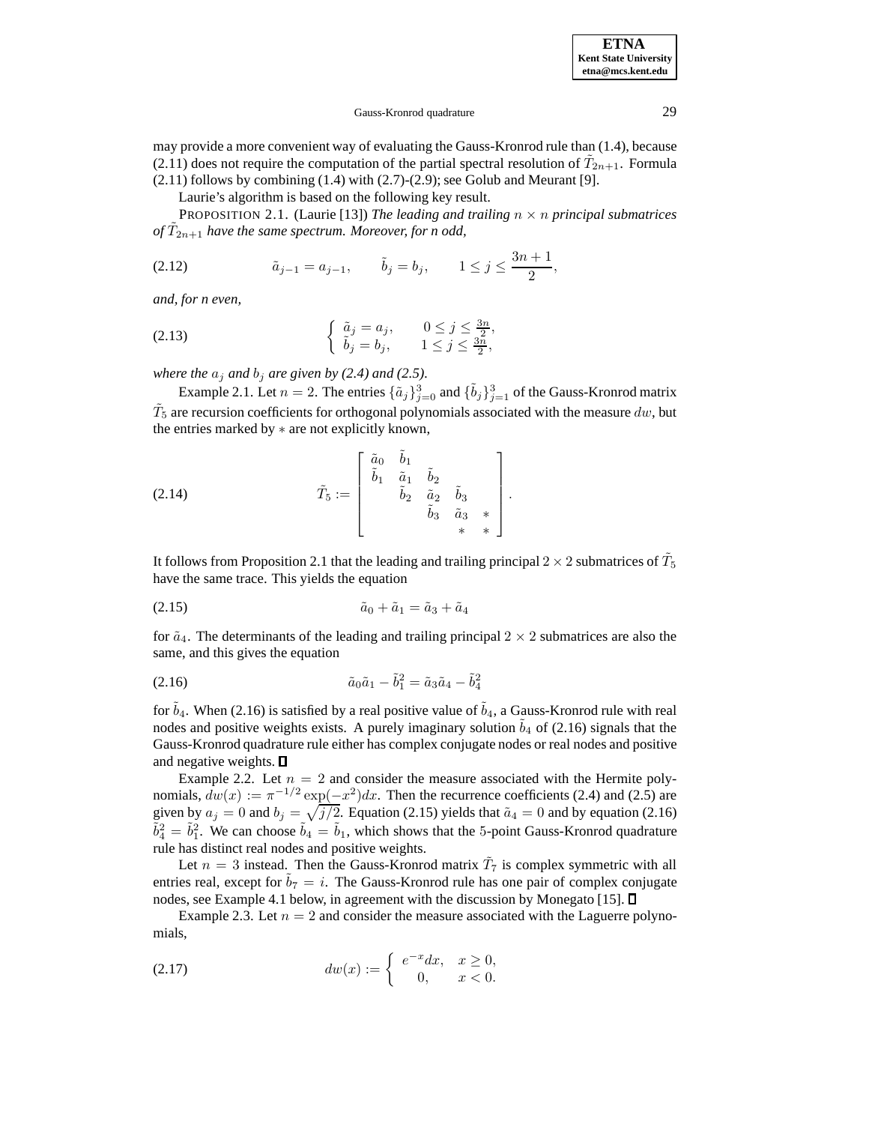may provide a more convenient way of evaluating the Gauss-Kronrod rule than (1.4), because (2.11) does not require the computation of the partial spectral resolution of  $\tilde{T}_{2n+1}$ . Formula  $(2.11)$  follows by combining  $(1.4)$  with  $(2.7)-(2.9)$ ; see Golub and Meurant [9].

Laurie's algorithm is based on the following key result.

PROPOSITION 2.1. (Laurie [13]) *The leading and trailing* n × n *principal submatrices of*  $T_{2n+1}$  *have the same spectrum. Moreover, for n odd,* 

(2.12) 
$$
\tilde{a}_{j-1} = a_{j-1}, \qquad \tilde{b}_j = b_j, \qquad 1 \le j \le \frac{3n+1}{2},
$$

*and, for n even,*

(2.13) 
$$
\begin{cases} \tilde{a}_j = a_j, & 0 \le j \le \frac{3n}{2}, \\ \tilde{b}_j = b_j, & 1 \le j \le \frac{3n}{2}, \end{cases}
$$

*where the*  $a_j$  *and*  $b_j$  *are given by (2.4) and (2.5).* 

Example 2.1. Let  $n = 2$ . The entries  $\{\tilde{a}_j\}_{j=0}^3$  and  $\{\tilde{b}_j\}_{j=1}^3$  of the Gauss-Kronrod matrix  $T_5$  are recursion coefficients for orthogonal polynomials associated with the measure dw, but the entries marked by ∗ are not explicitly known,

(2.14) 
$$
\tilde{T}_5 := \begin{bmatrix} \tilde{a}_0 & \tilde{b}_1 \\ \tilde{b}_1 & \tilde{a}_1 & \tilde{b}_2 \\ & \tilde{b}_2 & \tilde{a}_2 & \tilde{b}_3 \\ & & \tilde{b}_3 & \tilde{a}_3 & * \\ & & & * & * \end{bmatrix}.
$$

It follows from Proposition 2.1 that the leading and trailing principal  $2\times 2$  submatrices of  $\tilde{T}_5$ have the same trace. This yields the equation

$$
\tilde{a}_0 + \tilde{a}_1 = \tilde{a}_3 + \tilde{a}_4
$$

for  $\tilde{a}_4$ . The determinants of the leading and trailing principal  $2 \times 2$  submatrices are also the same, and this gives the equation

(2.16) 
$$
\tilde{a}_0 \tilde{a}_1 - \tilde{b}_1^2 = \tilde{a}_3 \tilde{a}_4 - \tilde{b}_4^2
$$

for  $\tilde{b}_4$ . When (2.16) is satisfied by a real positive value of  $\tilde{b}_4$ , a Gauss-Kronrod rule with real nodes and positive weights exists. A purely imaginary solution  $b_4$  of (2.16) signals that the Gauss-Kronrod quadrature rule either has complex conjugate nodes or real nodes and positive and negative weights.  $\Box$ 

Example 2.2. Let  $n = 2$  and consider the measure associated with the Hermite polynomials,  $dw(x) := \pi^{-1/2} \exp(-x^2) dx$ . Then the recurrence coefficients (2.4) and (2.5) are given by  $a_j = 0$  and  $b_j = \sqrt{j/2}$ . Equation (2.15) yields that  $\tilde{a}_4 = 0$  and by equation (2.16)  $\tilde{b}_4^2 = \tilde{b}_1^2$ . We can choose  $\tilde{b}_4 = \tilde{b}_1$ , which shows that the 5-point Gauss-Kronrod quadrature rule has distinct real nodes and positive weights.

Let  $n = 3$  instead. Then the Gauss-Kronrod matrix  $\tilde{T}_7$  is complex symmetric with all entries real, except for  $\tilde{b}_7 = i$ . The Gauss-Kronrod rule has one pair of complex conjugate nodes, see Example 4.1 below, in agreement with the discussion by Monegato [15].

Example 2.3. Let  $n = 2$  and consider the measure associated with the Laguerre polynomials,

(2.17) 
$$
dw(x) := \begin{cases} e^{-x} dx, & x \ge 0, \\ 0, & x < 0. \end{cases}
$$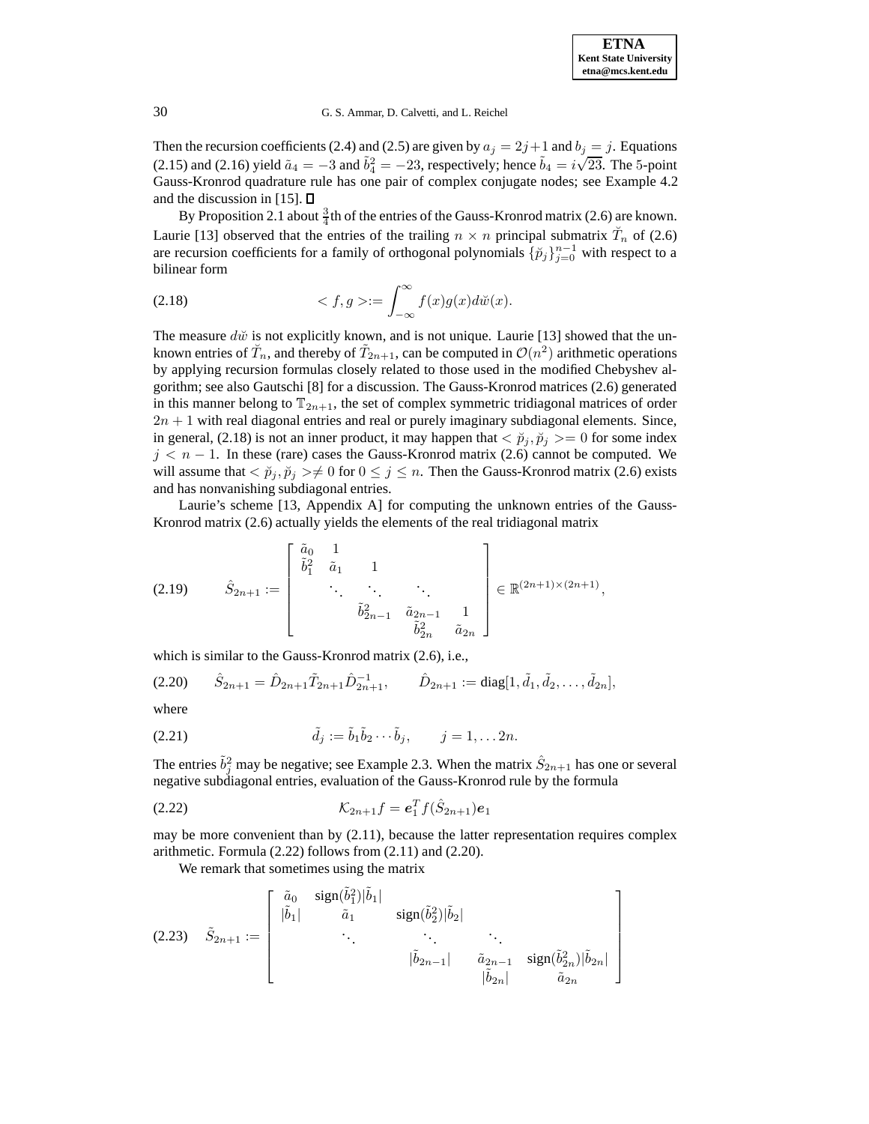Then the recursion coefficients (2.4) and (2.5) are given by  $a_j = 2j+1$  and  $b_j = j$ . Equations (2.15) and (2.16) yield  $\tilde{a}_4 = -3$  and  $\tilde{b}_4^2 = -23$ , respectively; hence  $\tilde{b}_4 = i\sqrt{23}$ . The 5-point Gauss-Kronrod quadrature rule has one pair of complex conjugate nodes; see Example 4.2 and the discussion in [15].  $\Box$ 

By Proposition 2.1 about  $\frac{3}{4}$ th of the entries of the Gauss-Kronrod matrix (2.6) are known. Laurie [13] observed that the entries of the trailing  $n \times n$  principal submatrix  $\breve{T}_n$  of (2.6) are recursion coefficients for a family of orthogonal polynomials  $\{\check{p}_j\}_{j=0}^{n-1}$  with respect to a bilinear form

(2.18) 
$$
\langle f, g \rangle := \int_{-\infty}^{\infty} f(x)g(x) d\breve{w}(x).
$$

The measure  $d\tilde{w}$  is not explicitly known, and is not unique. Laurie [13] showed that the unknown entries of  $\tilde{T}_n$ , and thereby of  $\tilde{T}_{2n+1}$ , can be computed in  $\mathcal{O}(n^2)$  arithmetic operations by applying recursion formulas closely related to those used in the modified Chebyshev algorithm; see also Gautschi [8] for a discussion. The Gauss-Kronrod matrices (2.6) generated in this manner belong to  $\mathbb{T}_{2n+1}$ , the set of complex symmetric tridiagonal matrices of order  $2n + 1$  with real diagonal entries and real or purely imaginary subdiagonal elements. Since, in general, (2.18) is not an inner product, it may happen that  $\langle \tilde{p}_i, \tilde{p}_j \rangle = 0$  for some index  $j < n - 1$ . In these (rare) cases the Gauss-Kronrod matrix (2.6) cannot be computed. We will assume that  $\langle \tilde{p}_i, \tilde{p}_j \rangle \neq 0$  for  $0 \leq j \leq n$ . Then the Gauss-Kronrod matrix (2.6) exists and has nonvanishing subdiagonal entries.

Laurie's scheme [13, Appendix A] for computing the unknown entries of the Gauss-Kronrod matrix (2.6) actually yields the elements of the real tridiagonal matrix

$$
(2.19) \qquad \hat{S}_{2n+1} := \begin{bmatrix} \tilde{a}_0 & 1 & & & \\ \tilde{b}_1^2 & \tilde{a}_1 & 1 & & \\ & \ddots & \ddots & \ddots & \\ & & \tilde{b}_{2n-1}^2 & \tilde{a}_{2n-1} & 1 \\ & & & \tilde{b}_{2n}^2 & \tilde{a}_{2n} \end{bmatrix} \in \mathbb{R}^{(2n+1)\times(2n+1)},
$$

which is similar to the Gauss-Kronrod matrix (2.6), i.e.,

$$
(2.20) \qquad \hat{S}_{2n+1} = \hat{D}_{2n+1} \tilde{T}_{2n+1} \hat{D}_{2n+1}^{-1}, \qquad \hat{D}_{2n+1} := \text{diag}[1, \tilde{d}_1, \tilde{d}_2, \dots, \tilde{d}_{2n}],
$$

where

(2.21) 
$$
\tilde{d}_j := \tilde{b}_1 \tilde{b}_2 \cdots \tilde{b}_j, \qquad j = 1, \ldots 2n.
$$

The entries  $\tilde{b}_j^2$  may be negative; see Example 2.3. When the matrix  $\hat{S}_{2n+1}$  has one or several negative subdiagonal entries, evaluation of the Gauss-Kronrod rule by the formula

(2.22) 
$$
\mathcal{K}_{2n+1}f = \mathbf{e}_1^T f(\hat{S}_{2n+1})\mathbf{e}_1
$$

may be more convenient than by (2.11), because the latter representation requires complex arithmetic. Formula (2.22) follows from (2.11) and (2.20).

We remark that sometimes using the matrix

$$
(2.23) \quad \tilde{S}_{2n+1} := \begin{bmatrix} \tilde{a}_0 & \text{sign}(\tilde{b}_1^2)|\tilde{b}_1| & & \\ |\tilde{b}_1| & \tilde{a}_1 & \text{sign}(\tilde{b}_2^2)|\tilde{b}_2| & & \\ & \ddots & \ddots & \ddots & \vdots \\ & & |\tilde{b}_{2n-1}| & \tilde{a}_{2n-1} & \text{sign}(\tilde{b}_{2n}^2)|\tilde{b}_{2n}| \\ & & |\tilde{b}_{2n}| & \tilde{a}_{2n} \end{bmatrix}
$$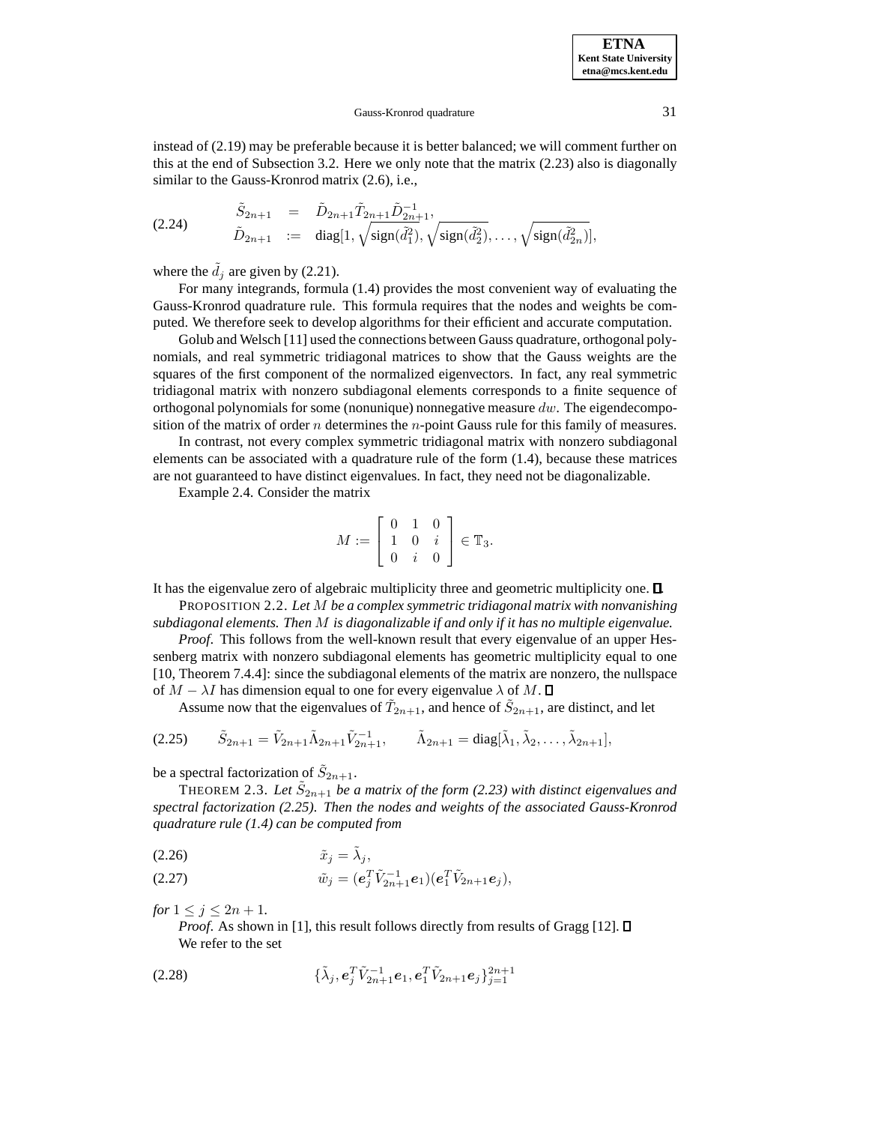**ETNA Kent State University etna@mcs.kent.edu**

instead of (2.19) may be preferable because it is better balanced; we will comment further on this at the end of Subsection 3.2. Here we only note that the matrix (2.23) also is diagonally similar to the Gauss-Kronrod matrix (2.6), i.e.,

(2.24) 
$$
\begin{array}{rcl}\n\tilde{S}_{2n+1} & = & \tilde{D}_{2n+1} \tilde{T}_{2n+1} \tilde{D}_{2n+1}^{-1}, \\
\tilde{D}_{2n+1} & := & \text{diag}[1, \sqrt{\text{sign}(\tilde{d}_1^2)}, \sqrt{\text{sign}(\tilde{d}_2^2)}, \dots, \sqrt{\text{sign}(\tilde{d}_{2n}^2)}],\n\end{array}
$$

where the  $\tilde{d}_j$  are given by (2.21).

For many integrands, formula (1.4) provides the most convenient way of evaluating the Gauss-Kronrod quadrature rule. This formula requires that the nodes and weights be computed. We therefore seek to develop algorithms for their efficient and accurate computation.

Golub and Welsch [11] used the connections between Gauss quadrature, orthogonal polynomials, and real symmetric tridiagonal matrices to show that the Gauss weights are the squares of the first component of the normalized eigenvectors. In fact, any real symmetric tridiagonal matrix with nonzero subdiagonal elements corresponds to a finite sequence of orthogonal polynomials for some (nonunique) nonnegative measure  $dw$ . The eigendecomposition of the matrix of order n determines the n-point Gauss rule for this family of measures.

In contrast, not every complex symmetric tridiagonal matrix with nonzero subdiagonal elements can be associated with a quadrature rule of the form  $(1.4)$ , because these matrices are not guaranteed to have distinct eigenvalues. In fact, they need not be diagonalizable.

Example 2.4. Consider the matrix

$$
M := \left[ \begin{array}{ccc} 0 & 1 & 0 \\ 1 & 0 & i \\ 0 & i & 0 \end{array} \right] \in \mathbb{T}_3.
$$

It has the eigenvalue zero of algebraic multiplicity three and geometric multiplicity one. .

PROPOSITION 2.2. *Let* M *be a complex symmetric tridiagonal matrix with nonvanishing subdiagonal elements. Then* M *is diagonalizable if and only if it has no multiple eigenvalue.*

*Proof.* This follows from the well-known result that every eigenvalue of an upper Hessenberg matrix with nonzero subdiagonal elements has geometric multiplicity equal to one [10, Theorem 7.4.4]: since the subdiagonal elements of the matrix are nonzero, the nullspace of  $M - \lambda I$  has dimension equal to one for every eigenvalue  $\lambda$  of M.  $\Box$ 

Assume now that the eigenvalues of  $\tilde{T}_{2n+1}$ , and hence of  $\tilde{S}_{2n+1}$ , are distinct, and let

$$
(2.25) \qquad \tilde{S}_{2n+1} = \tilde{V}_{2n+1} \tilde{\Lambda}_{2n+1} \tilde{V}_{2n+1}^{-1}, \qquad \tilde{\Lambda}_{2n+1} = \text{diag}[\tilde{\lambda}_1, \tilde{\lambda}_2, \dots, \tilde{\lambda}_{2n+1}],
$$

be a spectral factorization of  $\tilde{S}_{2n+1}$ .

THEOREM 2.3. Let  $\tilde{S}_{2n+1}$  be a matrix of the form (2.23) with distinct eigenvalues and *spectral factorization (2.25). Then the nodes and weights of the associated Gauss-Kronrod quadrature rule (1.4) can be computed from*

$$
(2.26) \t\t \tilde{x}_j = \tilde{\lambda}_j,
$$

(2.27) 
$$
\tilde{w}_j = (e_j^T \tilde{V}_{2n+1}^{-1} e_1)(e_1^T \tilde{V}_{2n+1} e_j),
$$

*for*  $1 \leq j \leq 2n + 1$ *.* 

*Proof.* As shown in [1], this result follows directly from results of Gragg [12].  $\Box$ We refer to the set

(2.28) 
$$
\{\tilde{\lambda}_j, e_j^T \tilde{V}_{2n+1}^{-1} e_1, e_1^T \tilde{V}_{2n+1} e_j\}_{j=1}^{2n+1}
$$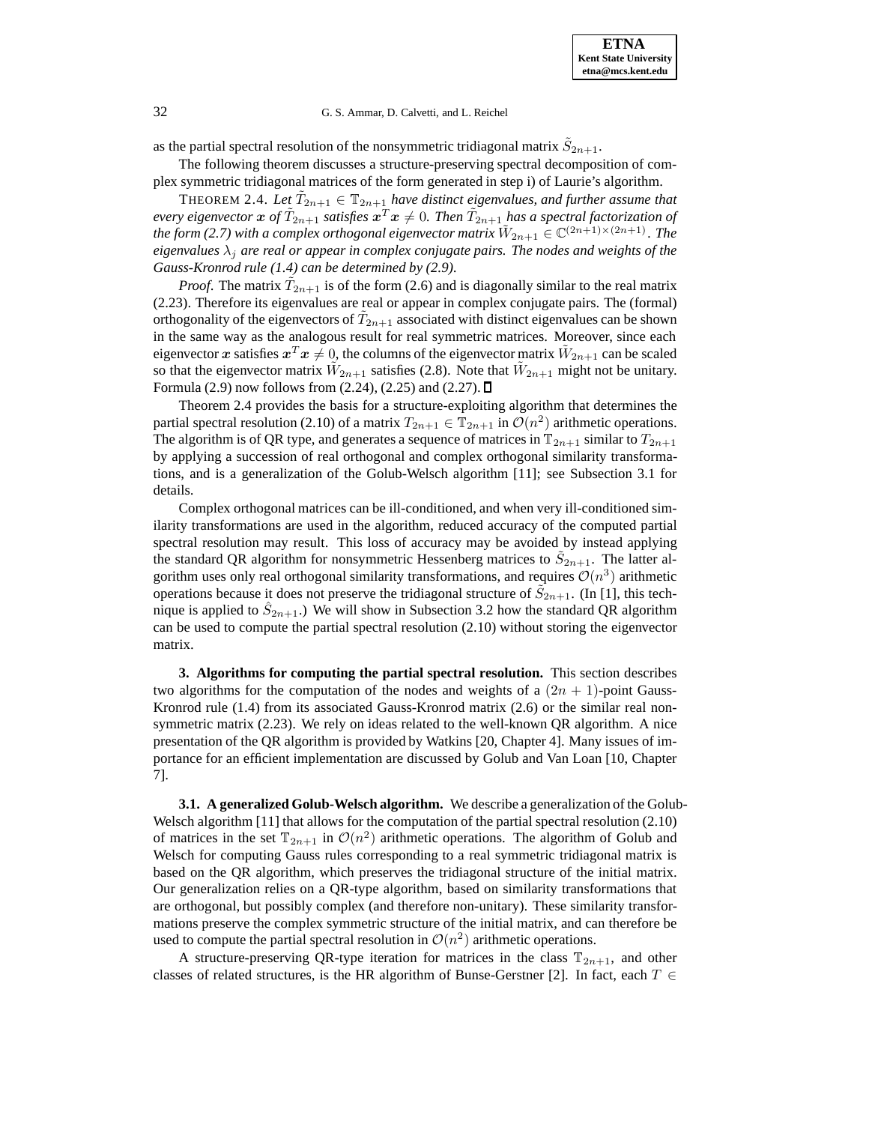as the partial spectral resolution of the nonsymmetric tridiagonal matrix  $S_{2n+1}$ .

The following theorem discusses a structure-preserving spectral decomposition of complex symmetric tridiagonal matrices of the form generated in step i) of Laurie's algorithm.

THEOREM 2.4. Let  $\tilde{T}_{2n+1} \in \mathbb{T}_{2n+1}$  have distinct eigenvalues, and further assume that  $e$ very eigenvector  $x$  of  $\tilde{T}_{2n+1}$  satisfies  $x^T x \neq 0$ . Then  $\tilde{T}_{2n+1}$  has a spectral factorization of *the form* (2.7) with a complex orthogonal eigenvector matrix  $\tilde{W}_{2n+1} \in \mathbb{C}^{(2n+1)\times (2n+1)}$ . The *eigenvalues*  $\lambda_i$  *are real or appear in complex conjugate pairs. The nodes and weights of the Gauss-Kronrod rule (1.4) can be determined by (2.9).*

*Proof.* The matrix  $\tilde{T}_{2n+1}$  is of the form (2.6) and is diagonally similar to the real matrix (2.23). Therefore its eigenvalues are real or appear in complex conjugate pairs. The (formal) orthogonality of the eigenvectors of  $T_{2n+1}$  associated with distinct eigenvalues can be shown in the same way as the analogous result for real symmetric matrices. Moreover, since each eigenvector *x* satisfies  $x^T x \neq 0$ , the columns of the eigenvector matrix  $W_{2n+1}$  can be scaled so that the eigenvector matrix  $W_{2n+1}$  satisfies (2.8). Note that  $W_{2n+1}$  might not be unitary. Formula (2.9) now follows from (2.24), (2.25) and (2.27).  $\Box$ 

Theorem 2.4 provides the basis for a structure-exploiting algorithm that determines the partial spectral resolution (2.10) of a matrix  $T_{2n+1} \in \mathbb{T}_{2n+1}$  in  $\mathcal{O}(n^2)$  arithmetic operations. The algorithm is of QR type, and generates a sequence of matrices in  $\mathbb{T}_{2n+1}$  similar to  $T_{2n+1}$ by applying a succession of real orthogonal and complex orthogonal similarity transformations, and is a generalization of the Golub-Welsch algorithm [11]; see Subsection 3.1 for details.

Complex orthogonal matrices can be ill-conditioned, and when very ill-conditioned similarity transformations are used in the algorithm, reduced accuracy of the computed partial spectral resolution may result. This loss of accuracy may be avoided by instead applying the standard QR algorithm for nonsymmetric Hessenberg matrices to  $S_{2n+1}$ . The latter algorithm uses only real orthogonal similarity transformations, and requires  $\mathcal{O}(n^3)$  arithmetic operations because it does not preserve the tridiagonal structure of  $\tilde{S}_{2n+1}$ . (In [1], this technique is applied to  $S_{2n+1}$ .) We will show in Subsection 3.2 how the standard QR algorithm can be used to compute the partial spectral resolution (2.10) without storing the eigenvector matrix.

**3. Algorithms for computing the partial spectral resolution.** This section describes two algorithms for the computation of the nodes and weights of a  $(2n + 1)$ -point Gauss-Kronrod rule (1.4) from its associated Gauss-Kronrod matrix (2.6) or the similar real nonsymmetric matrix (2.23). We rely on ideas related to the well-known QR algorithm. A nice presentation of the QR algorithm is provided by Watkins [20, Chapter 4]. Many issues of importance for an efficient implementation are discussed by Golub and Van Loan [10, Chapter 7].

**3.1. A generalized Golub-Welsch algorithm.** We describe a generalization of the Golub-Welsch algorithm [11] that allows for the computation of the partial spectral resolution (2.10) of matrices in the set  $\mathbb{T}_{2n+1}$  in  $\mathcal{O}(n^2)$  arithmetic operations. The algorithm of Golub and Welsch for computing Gauss rules corresponding to a real symmetric tridiagonal matrix is based on the QR algorithm, which preserves the tridiagonal structure of the initial matrix. Our generalization relies on a QR-type algorithm, based on similarity transformations that are orthogonal, but possibly complex (and therefore non-unitary). These similarity transformations preserve the complex symmetric structure of the initial matrix, and can therefore be used to compute the partial spectral resolution in  $\mathcal{O}(n^2)$  arithmetic operations.

A structure-preserving QR-type iteration for matrices in the class  $\mathbb{T}_{2n+1}$ , and other classes of related structures, is the HR algorithm of Bunse-Gerstner [2]. In fact, each  $T \in$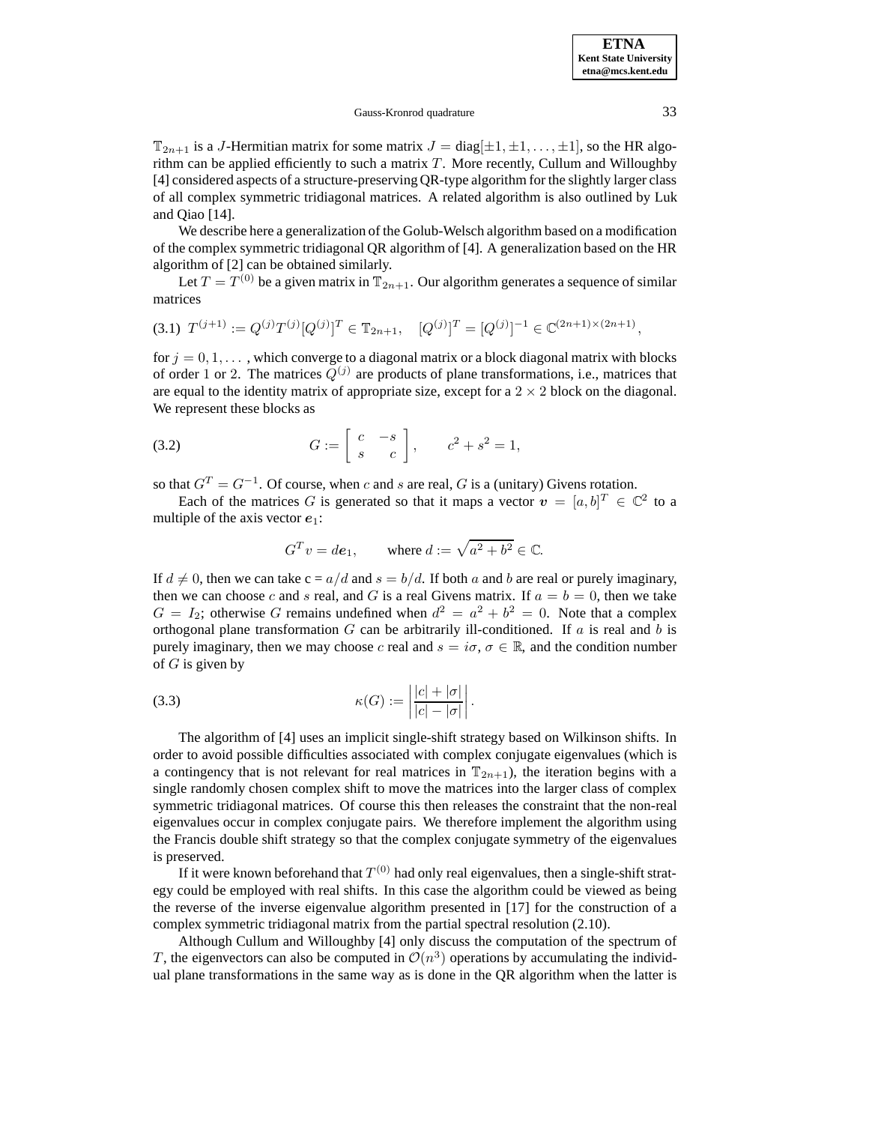$\mathbb{T}_{2n+1}$  is a J-Hermitian matrix for some matrix  $J = \text{diag}[\pm 1, \pm 1, \dots, \pm 1]$ , so the HR algorithm can be applied efficiently to such a matrix  $T$ . More recently, Cullum and Willoughby [4] considered aspects of a structure-preserving QR-type algorithm for the slightly larger class of all complex symmetric tridiagonal matrices. A related algorithm is also outlined by Luk and Qiao [14].

We describe here a generalization of the Golub-Welsch algorithm based on a modification of the complex symmetric tridiagonal QR algorithm of [4]. A generalization based on the HR algorithm of [2] can be obtained similarly.

Let  $T = T^{(0)}$  be a given matrix in  $\mathbb{T}_{2n+1}$ . Our algorithm generates a sequence of similar matrices

$$
(3.1) \ T^{(j+1)} := Q^{(j)}T^{(j)}[Q^{(j)}]^T \in \mathbb{T}_{2n+1}, \quad [Q^{(j)}]^T = [Q^{(j)}]^{-1} \in \mathbb{C}^{(2n+1)\times(2n+1)},
$$

for  $j = 0, 1, \ldots$ , which converge to a diagonal matrix or a block diagonal matrix with blocks of order 1 or 2. The matrices  $Q^{(j)}$  are products of plane transformations, i.e., matrices that are equal to the identity matrix of appropriate size, except for a  $2 \times 2$  block on the diagonal. We represent these blocks as

$$
(3.2) \tG := \begin{bmatrix} c & -s \\ s & c \end{bmatrix}, \t c^2 + s^2 = 1,
$$

so that  $G<sup>T</sup> = G<sup>-1</sup>$ . Of course, when c and s are real, G is a (unitary) Givens rotation.

Each of the matrices G is generated so that it maps a vector  $v = [a, b]^T \in \mathbb{C}^2$  to a multiple of the axis vector *e*1:

$$
G^T v = d\mathbf{e}_1
$$
, where  $d := \sqrt{a^2 + b^2} \in \mathbb{C}$ .

If  $d \neq 0$ , then we can take  $c = a/d$  and  $s = b/d$ . If both a and b are real or purely imaginary, then we can choose c and s real, and G is a real Givens matrix. If  $a = b = 0$ , then we take  $G = I_2$ ; otherwise G remains undefined when  $d^2 = a^2 + b^2 = 0$ . Note that a complex orthogonal plane transformation  $G$  can be arbitrarily ill-conditioned. If  $a$  is real and  $b$  is purely imaginary, then we may choose c real and  $s = i\sigma$ ,  $\sigma \in \mathbb{R}$ , and the condition number of  $G$  is given by

(3.3) 
$$
\kappa(G) := \left| \frac{|c| + |\sigma|}{|c| - |\sigma|} \right|.
$$

The algorithm of [4] uses an implicit single-shift strategy based on Wilkinson shifts. In order to avoid possible difficulties associated with complex conjugate eigenvalues (which is a contingency that is not relevant for real matrices in  $\mathbb{T}_{2n+1}$ ), the iteration begins with a single randomly chosen complex shift to move the matrices into the larger class of complex symmetric tridiagonal matrices. Of course this then releases the constraint that the non-real eigenvalues occur in complex conjugate pairs. We therefore implement the algorithm using the Francis double shift strategy so that the complex conjugate symmetry of the eigenvalues is preserved.

If it were known beforehand that  $T^{(0)}$  had only real eigenvalues, then a single-shift strategy could be employed with real shifts. In this case the algorithm could be viewed as being the reverse of the inverse eigenvalue algorithm presented in [17] for the construction of a complex symmetric tridiagonal matrix from the partial spectral resolution (2.10).

Although Cullum and Willoughby [4] only discuss the computation of the spectrum of T, the eigenvectors can also be computed in  $\mathcal{O}(n^3)$  operations by accumulating the individual plane transformations in the same way as is done in the QR algorithm when the latter is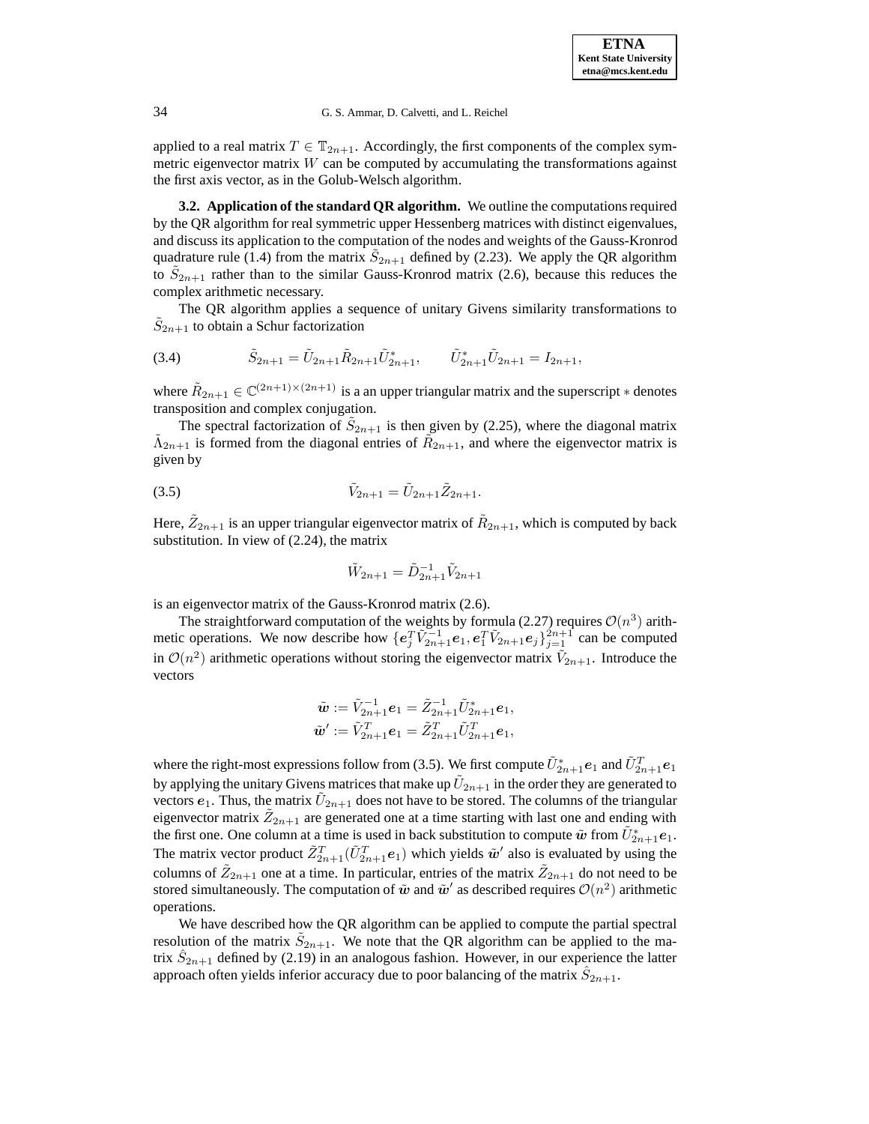applied to a real matrix  $T \in \mathbb{T}_{2n+1}$ . Accordingly, the first components of the complex symmetric eigenvector matrix  $W$  can be computed by accumulating the transformations against the first axis vector, as in the Golub-Welsch algorithm.

**3.2. Application of the standard QR algorithm.** We outline the computations required by the QR algorithm for real symmetric upper Hessenberg matrices with distinct eigenvalues, and discuss its application to the computation of the nodes and weights of the Gauss-Kronrod quadrature rule (1.4) from the matrix  $\hat{S}_{2n+1}$  defined by (2.23). We apply the QR algorithm to  $S_{2n+1}$  rather than to the similar Gauss-Kronrod matrix (2.6), because this reduces the complex arithmetic necessary.

The QR algorithm applies a sequence of unitary Givens similarity transformations to  $S_{2n+1}$  to obtain a Schur factorization

(3.4) 
$$
\tilde{S}_{2n+1} = \tilde{U}_{2n+1} \tilde{R}_{2n+1} \tilde{U}_{2n+1}^*, \qquad \tilde{U}_{2n+1}^* \tilde{U}_{2n+1} = I_{2n+1},
$$

where  $\tilde{R}_{2n+1} \in \mathbb{C}^{(2n+1)\times (2n+1)}$  is a an upper triangular matrix and the superscript  $*$  denotes transposition and complex conjugation.

The spectral factorization of  $\tilde{S}_{2n+1}$  is then given by (2.25), where the diagonal matrix  $\tilde{\Lambda}_{2n+1}$  is formed from the diagonal entries of  $\tilde{R}_{2n+1}$ , and where the eigenvector matrix is given by

(3.5) 
$$
\tilde{V}_{2n+1} = \tilde{U}_{2n+1} \tilde{Z}_{2n+1}.
$$

Here,  $\tilde{Z}_{2n+1}$  is an upper triangular eigenvector matrix of  $\tilde{R}_{2n+1}$ , which is computed by back substitution. In view of (2.24), the matrix

$$
\tilde{W}_{2n+1} = \tilde{D}_{2n+1}^{-1} \tilde{V}_{2n+1}
$$

is an eigenvector matrix of the Gauss-Kronrod matrix (2.6).

The straightforward computation of the weights by formula (2.27) requires  $\mathcal{O}(n^3)$  arithmetic operations. We now describe how  $\{e_j^T \tilde{V}_{2n+1}^{-1} e_1, e_1^T \tilde{V}_{2n+1} e_j\}_{j=1}^{2n+1}$  can be computed in  $\mathcal{O}(n^2)$  arithmetic operations without storing the eigenvector matrix  $V_{2n+1}$ . Introduce the vectors

$$
\begin{array}{l} \tilde{\bm{w}} := \tilde{V}_{2n+1}^{-1} \bm{e}_1 = \tilde{Z}_{2n+1}^{-1} \tilde{U}_{2n+1}^* \bm{e}_1, \\ \tilde{\bm{w}}' := \tilde{V}_{2n+1}^T \bm{e}_1 = \tilde{Z}_{2n+1}^T \tilde{U}_{2n+1}^T \bm{e}_1, \end{array}
$$

where the right-most expressions follow from (3.5). We first compute  $\tilde{U}_{2n+1}^*e_1$  and  $\tilde{U}_{2n+1}^Te_1$ by applying the unitary Givens matrices that make up  $U_{2n+1}$  in the order they are generated to vectors  $e_1$ . Thus, the matrix  $U_{2n+1}$  does not have to be stored. The columns of the triangular eigenvector matrix  $\tilde{Z}_{2n+1}$  are generated one at a time starting with last one and ending with the first one. One column at a time is used in back substitution to compute  $\tilde{w}$  from  $\tilde{U}_{2n+1}^*e_1$ . The matrix vector product  $\tilde{Z}_{2n+1}^T(\tilde{U}_{2n+1}^T e_1)$  which yields  $\tilde{w}'$  also is evaluated by using the columns of  $Z_{2n+1}$  one at a time. In particular, entries of the matrix  $Z_{2n+1}$  do not need to be stored simultaneously. The computation of  $\tilde{\boldsymbol{w}}$  and  $\tilde{\boldsymbol{w}}'$  as described requires  $\mathcal{O}(n^2)$  arithmetic operations.

We have described how the QR algorithm can be applied to compute the partial spectral resolution of the matrix  $S_{2n+1}$ . We note that the QR algorithm can be applied to the matrix  $S_{2n+1}$  defined by (2.19) in an analogous fashion. However, in our experience the latter approach often yields inferior accuracy due to poor balancing of the matrix  $S_{2n+1}$ .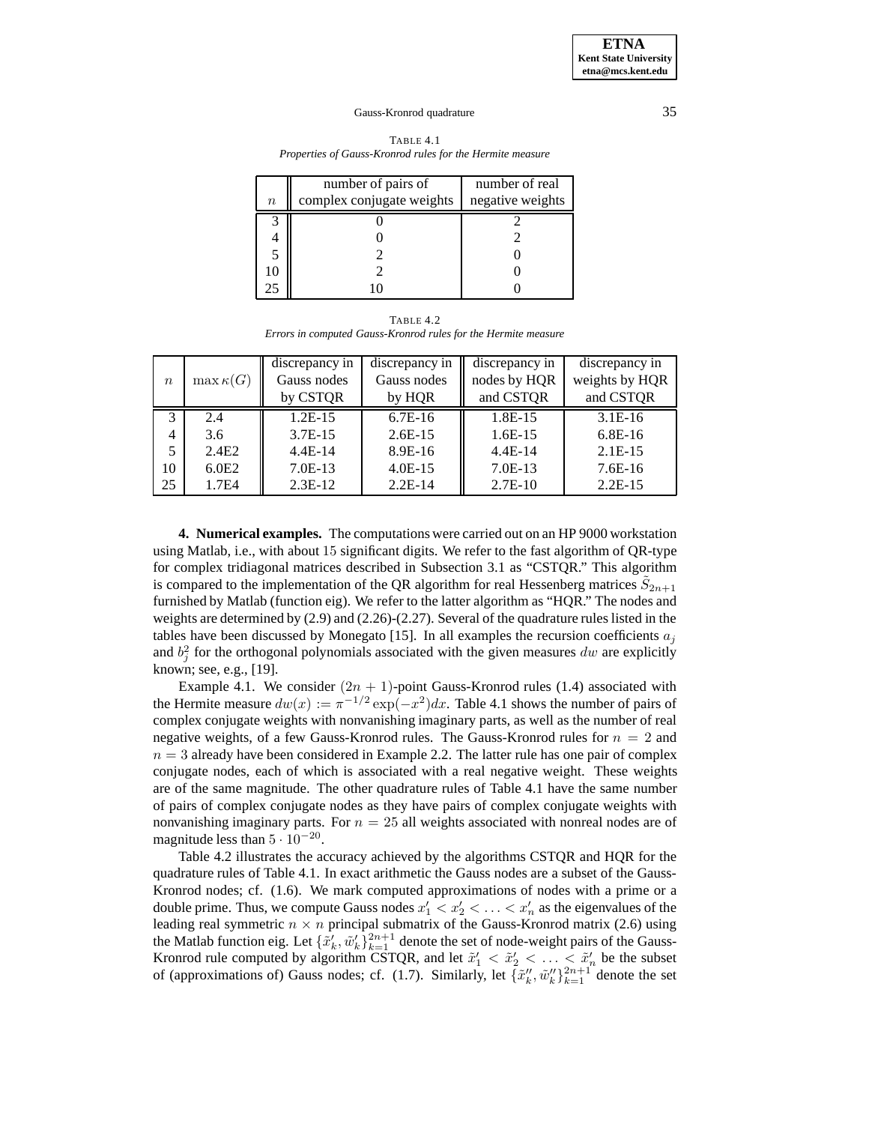| TABLE 4.1                                                 |
|-----------------------------------------------------------|
| Properties of Gauss-Kronrod rules for the Hermite measure |

|         | number of pairs of        | number of real   |
|---------|---------------------------|------------------|
| $\it n$ | complex conjugate weights | negative weights |
|         |                           |                  |
|         |                           |                  |
|         |                           |                  |
|         |                           |                  |
| 25      |                           |                  |

TABLE 4.2 *Errors in computed Gauss-Kronrod rules for the Hermite measure*

|                  |                   | discrepancy in | discrepancy in | discrepancy in | discrepancy in |
|------------------|-------------------|----------------|----------------|----------------|----------------|
| $\boldsymbol{n}$ | $\max \kappa(G)$  | Gauss nodes    | Gauss nodes    | nodes by HQR   | weights by HQR |
|                  |                   | by CSTQR       | by HQR         | and CSTQR      | and CSTQR      |
| 3                | 2.4               | $1.2E-15$      | $6.7E-16$      | 1.8E-15        | $3.1E-16$      |
| 4                | 3.6               | $3.7E-15$      | $2.6E-15$      | $1.6E-15$      | $6.8E-16$      |
|                  | 2.4 <sub>E2</sub> | $4.4E-14$      | $8.9E-16$      | $4.4E-14$      | $2.1E-15$      |
| 10               | 6.0E2             | $7.0E-13$      | $4.0E-15$      | $7.0E-13$      | $7.6E-16$      |
| 25               | 1.7E4             | $2.3E-12$      | $2.2E-14$      | $2.7E-10$      | $2.2E-15$      |

**4. Numerical examples.** The computations were carried out on an HP 9000 workstation using Matlab, i.e., with about 15 significant digits. We refer to the fast algorithm of QR-type for complex tridiagonal matrices described in Subsection 3.1 as "CSTQR." This algorithm is compared to the implementation of the QR algorithm for real Hessenberg matrices  $\tilde{S}_{2n+1}$ furnished by Matlab (function eig). We refer to the latter algorithm as "HQR." The nodes and weights are determined by (2.9) and (2.26)-(2.27). Several of the quadrature rules listed in the tables have been discussed by Monegato [15]. In all examples the recursion coefficients  $a_i$ and  $b_j^2$  for the orthogonal polynomials associated with the given measures dw are explicitly known; see, e.g., [19].

Example 4.1. We consider  $(2n + 1)$ -point Gauss-Kronrod rules (1.4) associated with the Hermite measure  $dw(x) := \pi^{-1/2} \exp(-x^2) dx$ . Table 4.1 shows the number of pairs of complex conjugate weights with nonvanishing imaginary parts, as well as the number of real negative weights, of a few Gauss-Kronrod rules. The Gauss-Kronrod rules for  $n = 2$  and  $n = 3$  already have been considered in Example 2.2. The latter rule has one pair of complex conjugate nodes, each of which is associated with a real negative weight. These weights are of the same magnitude. The other quadrature rules of Table 4.1 have the same number of pairs of complex conjugate nodes as they have pairs of complex conjugate weights with nonvanishing imaginary parts. For  $n = 25$  all weights associated with nonreal nodes are of magnitude less than  $5 \cdot 10^{-20}$ .

Table 4.2 illustrates the accuracy achieved by the algorithms CSTQR and HQR for the quadrature rules of Table 4.1. In exact arithmetic the Gauss nodes are a subset of the Gauss-Kronrod nodes; cf. (1.6). We mark computed approximations of nodes with a prime or a double prime. Thus, we compute Gauss nodes  $x'_1 < x'_2 < \ldots < x'_n$  as the eigenvalues of the leading real symmetric  $n \times n$  principal submatrix of the Gauss-Kronrod matrix (2.6) using the Matlab function eig. Let  $\{\tilde{x}'_k, \tilde{w}'_k\}_{k=1}^{2n+1}$  denote the set of node-weight pairs of the Gauss-Kronrod rule computed by algorithm CSTQR, and let  $\tilde{x}'_1 < \tilde{x}'_2 < \ldots < \tilde{x}'_n$  be the subset of (approximations of) Gauss nodes; cf. (1.7). Similarly, let  $\{\tilde{x}'_k, \tilde{w}''_k\}_{k=1}^{2n+1}$  denote the set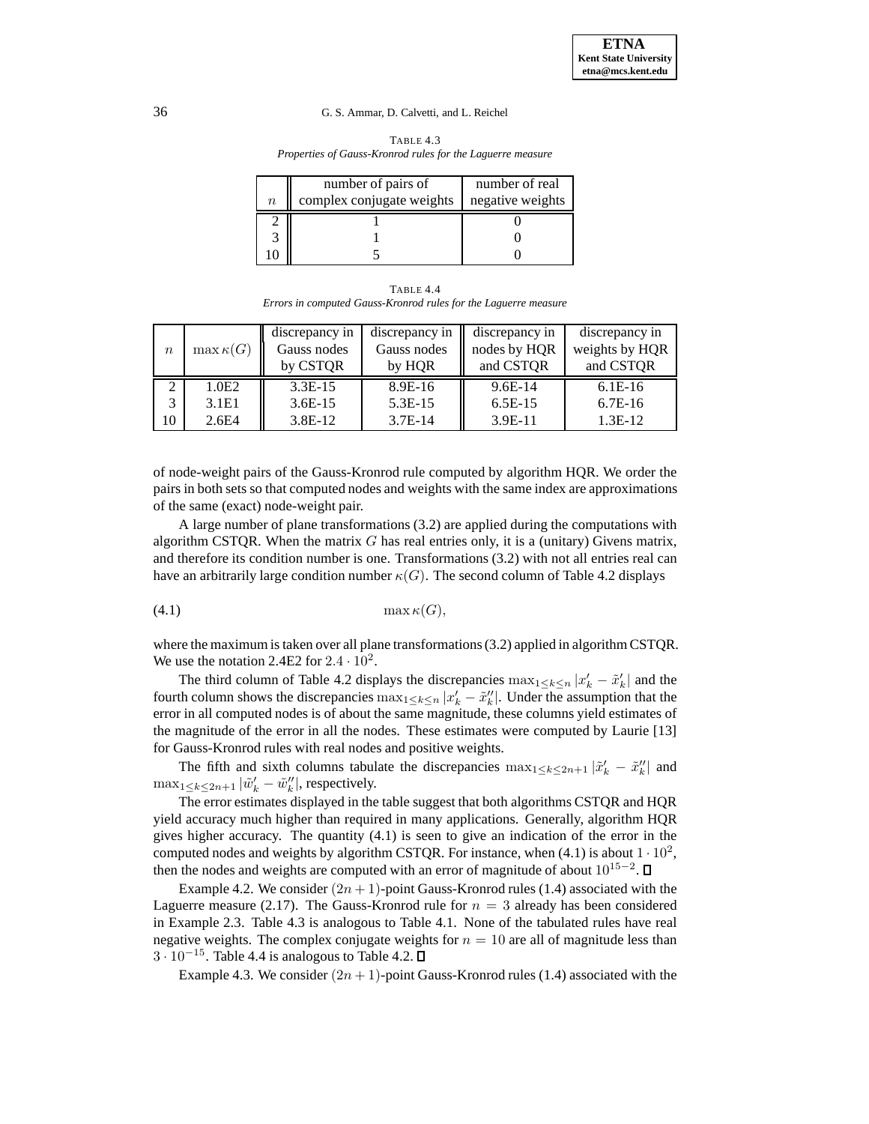| <b>TABLE 4.3</b>                                           |
|------------------------------------------------------------|
| Properties of Gauss-Kronrod rules for the Laguerre measure |
|                                                            |

|          | number of pairs of        | number of real   |
|----------|---------------------------|------------------|
| $\it{n}$ | complex conjugate weights | negative weights |
|          |                           |                  |
|          |                           |                  |
|          |                           |                  |

TABLE 4.4 *Errors in computed Gauss-Kronrod rules for the Laguerre measure*

|                  |                  | discrepancy in | discrepancy in | discrepancy in | discrepancy in |
|------------------|------------------|----------------|----------------|----------------|----------------|
| $\boldsymbol{n}$ | $\max \kappa(G)$ | Gauss nodes    | Gauss nodes    | nodes by HQR   | weights by HQR |
|                  |                  | by CSTQR       | by HOR         | and CSTQR      | and CSTOR      |
|                  | 1.0E2            | $3.3E-15$      | 8.9E-16        | $9.6E-14$      | $6.1E-16$      |
|                  | 3.1E1            | $3.6E-15$      | $5.3E-15$      | $6.5E-15$      | $6.7E-16$      |
| 10               | 2.6E4            | 3.8E-12        | $3.7E-14$      | 3.9E-11        | $1.3E-12$      |

of node-weight pairs of the Gauss-Kronrod rule computed by algorithm HQR. We order the pairs in both sets so that computed nodes and weights with the same index are approximations of the same (exact) node-weight pair.

A large number of plane transformations (3.2) are applied during the computations with algorithm CSTQR. When the matrix  $G$  has real entries only, it is a (unitary) Givens matrix, and therefore its condition number is one. Transformations (3.2) with not all entries real can have an arbitrarily large condition number  $\kappa(G)$ . The second column of Table 4.2 displays

$$
(4.1)\quad \max \kappa(G),
$$

where the maximum is taken over all plane transformations (3.2) applied in algorithm CSTQR. We use the notation 2.4E2 for  $2.4 \cdot 10^2$ .

The third column of Table 4.2 displays the discrepancies  $\max_{1 \leq k \leq n} |x'_k - \tilde{x}'_k|$  and the fourth column shows the discrepancies  $\max_{1 \leq k \leq n} |x'_k - \tilde{x}_k''|$ . Under the assumption that the error in all computed nodes is of about the same magnitude, these columns yield estimates of the magnitude of the error in all the nodes. These estimates were computed by Laurie [13] for Gauss-Kronrod rules with real nodes and positive weights.

The fifth and sixth columns tabulate the discrepancies  $\max_{1 \le k \le 2n+1} |\tilde{x}'_k - \tilde{x}''_k|$  and  $\max_{1 \leq k \leq 2n+1} |\tilde{w}'_k - \tilde{w}''_k|$ , respectively.

The error estimates displayed in the table suggest that both algorithms CSTQR and HQR yield accuracy much higher than required in many applications. Generally, algorithm HQR gives higher accuracy. The quantity (4.1) is seen to give an indication of the error in the computed nodes and weights by algorithm CSTQR. For instance, when  $(4.1)$  is about  $1 \cdot 10^2$ , then the nodes and weights are computed with an error of magnitude of about  $10^{15-2}$ .  $\Box$ 

Example 4.2. We consider  $(2n + 1)$ -point Gauss-Kronrod rules (1.4) associated with the Laguerre measure (2.17). The Gauss-Kronrod rule for  $n = 3$  already has been considered in Example 2.3. Table 4.3 is analogous to Table 4.1. None of the tabulated rules have real negative weights. The complex conjugate weights for  $n = 10$  are all of magnitude less than  $3 \cdot 10^{-15}$ . Table 4.4 is analogous to Table 4.2.  $\square$ 

Example 4.3. We consider  $(2n + 1)$ -point Gauss-Kronrod rules (1.4) associated with the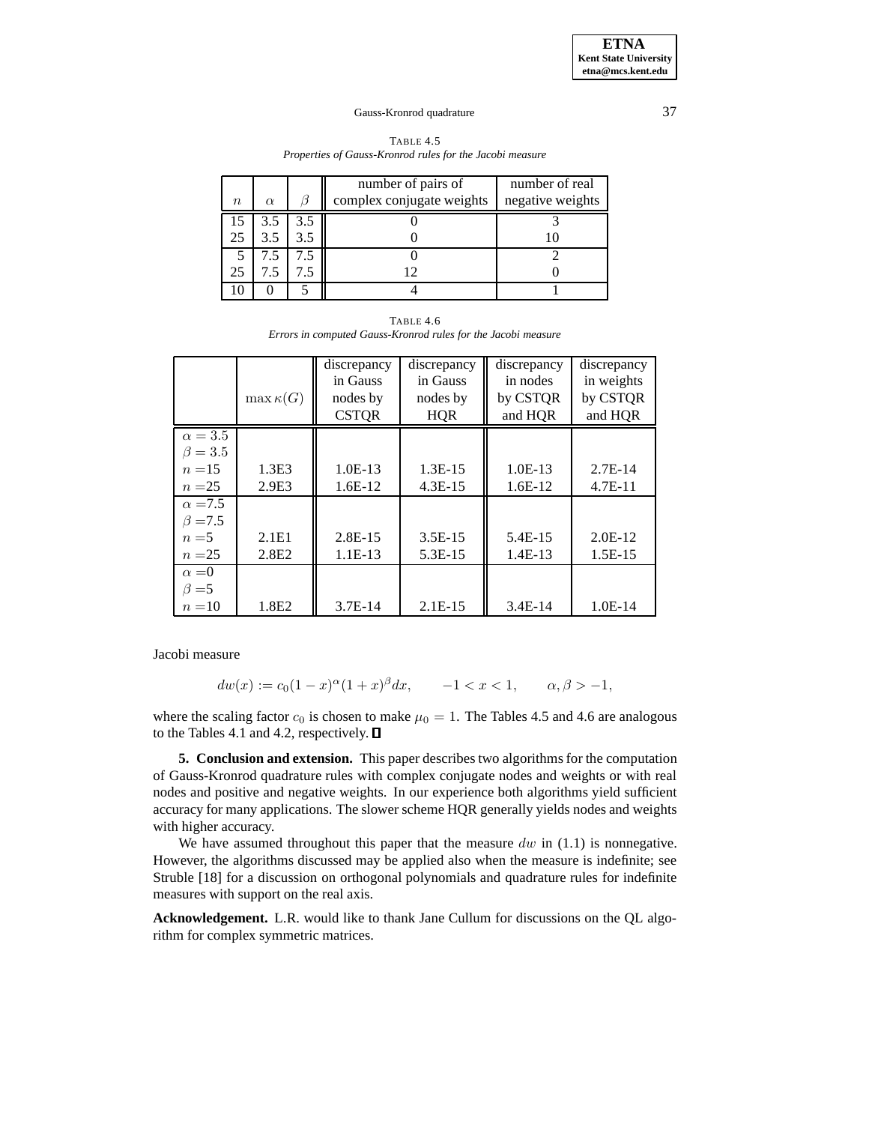| TABLE 4.5                                                |
|----------------------------------------------------------|
| Properties of Gauss-Kronrod rules for the Jacobi measure |

|                  |          |     | number of pairs of        | number of real   |
|------------------|----------|-----|---------------------------|------------------|
| $\boldsymbol{n}$ | $\alpha$ |     | complex conjugate weights | negative weights |
|                  |          | 3.5 |                           |                  |
| 25               |          |     |                           |                  |
|                  | 7.5      |     |                           |                  |
| 25               |          |     |                           |                  |
|                  |          |     |                           |                  |

TABLE 4.6 *Errors in computed Gauss-Kronrod rules for the Jacobi measure*

|                |                   | discrepancy  | discrepancy | discrepancy | discrepancy |
|----------------|-------------------|--------------|-------------|-------------|-------------|
|                |                   | in Gauss     | in Gauss    | in nodes    | in weights  |
|                | $\max \kappa(G)$  | nodes by     | nodes by    | by CSTQR    | by CSTQR    |
|                |                   | <b>CSTOR</b> | <b>HOR</b>  | and HQR     | and HQR     |
| $\alpha = 3.5$ |                   |              |             |             |             |
| $\beta = 3.5$  |                   |              |             |             |             |
| $n = 15$       | 1.3E <sub>3</sub> | $1.0E-13$    | 1.3E-15     | $1.0E-13$   | $2.7E-14$   |
| $n = 25$       | 2.9E3             | $1.6E-12$    | $4.3E-15$   | $1.6E-12$   | $4.7E-11$   |
| $\alpha = 7.5$ |                   |              |             |             |             |
| $\beta = 7.5$  |                   |              |             |             |             |
| $n = 5$        | 2.1E1             | $2.8E-15$    | $3.5E-15$   | 5.4E-15     | $2.0E-12$   |
| $n=25$         | 2.8 <sub>E2</sub> | $1.1E-13$    | 5.3E-15     | $1.4E-13$   | $1.5E-15$   |
| $\alpha = 0$   |                   |              |             |             |             |
| $\beta = 5$    |                   |              |             |             |             |
| $n=10$         | 1.8E2             | $3.7E-14$    | $2.1E-15$   | $3.4E-14$   | $1.0E-14$   |

Jacobi measure

$$
dw(x) := c_0(1-x)^{\alpha}(1+x)^{\beta}dx, \qquad -1 < x < 1, \qquad \alpha, \beta > -1,
$$

where the scaling factor  $c_0$  is chosen to make  $\mu_0 = 1$ . The Tables 4.5 and 4.6 are analogous to the Tables 4.1 and 4.2, respectively.

**5. Conclusion and extension.** This paper describes two algorithms for the computation of Gauss-Kronrod quadrature rules with complex conjugate nodes and weights or with real nodes and positive and negative weights. In our experience both algorithms yield sufficient accuracy for many applications. The slower scheme HQR generally yields nodes and weights with higher accuracy.

We have assumed throughout this paper that the measure  $dw$  in (1.1) is nonnegative. However, the algorithms discussed may be applied also when the measure is indefinite; see Struble [18] for a discussion on orthogonal polynomials and quadrature rules for indefinite measures with support on the real axis.

**Acknowledgement.** L.R. would like to thank Jane Cullum for discussions on the QL algorithm for complex symmetric matrices.